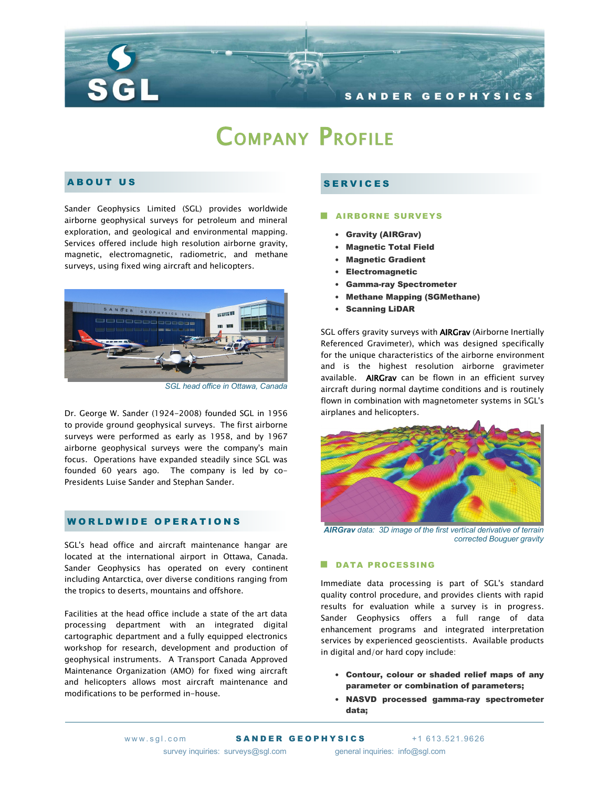

# COMPANY PROFILE

# A B O U T U S

Sander Geophysics Limited (SGL) provides worldwide airborne geophysical surveys for petroleum and mineral exploration, and geological and environmental mapping. Services offered include high resolution airborne gravity, magnetic, electromagnetic, radiometric, and methane surveys, using fixed wing aircraft and helicopters.



*SGL head office in Ottawa, Canada*

Dr. George W. Sander (1924-2008) founded SGL in 1956 to provide ground geophysical surveys. The first airborne surveys were performed as early as 1958, and by 1967 airborne geophysical surveys were the company's main focus. Operations have expanded steadily since SGL was founded 60 years ago. The company is led by co-Presidents Luise Sander and Stephan Sander.

## WORLDWIDE OPERATIONS

SGL's head office and aircraft maintenance hangar are located at the international airport in Ottawa, Canada. Sander Geophysics has operated on every continent including Antarctica, over diverse conditions ranging from the tropics to deserts, mountains and offshore.

Facilities at the head office include a state of the art data processing department with an integrated digital cartographic department and a fully equipped electronics workshop for research, development and production of geophysical instruments. A Transport Canada Approved Maintenance Organization (AMO) for fixed wing aircraft and helicopters allows most aircraft maintenance and modifications to be performed in-house.

# **SERVICES**

### **AIRBORNE SURVEYS**

- Gravity (AIRGrav)
- Magnetic Total Field
- Magnetic Gradient
- Electromagnetic
- Gamma-ray Spectrometer
- Methane Mapping (SGMethane)
- Scanning LiDAR

SGL offers gravity surveys with **AIRGrav** (Airborne Inertially Referenced Gravimeter), which was designed specifically for the unique characteristics of the airborne environment and is the highest resolution airborne gravimeter available. **AIRGrav** can be flown in an efficient survey aircraft during normal daytime conditions and is routinely flown in combination with magnetometer systems in SGL's airplanes and helicopters.



*AIRGrav data: 3D image of the first vertical derivative of terrain corrected Bouguer gravity*

#### DATA PROCESSING

Immediate data processing is part of SGL's standard quality control procedure, and provides clients with rapid results for evaluation while a survey is in progress. Sander Geophysics offers a full range of data enhancement programs and integrated interpretation services by experienced geoscientists. Available products in digital and/or hard copy include:

- Contour, colour or shaded relief maps of any parameter or combination of parameters;
- NASVD processed gamma-ray spectrometer data;